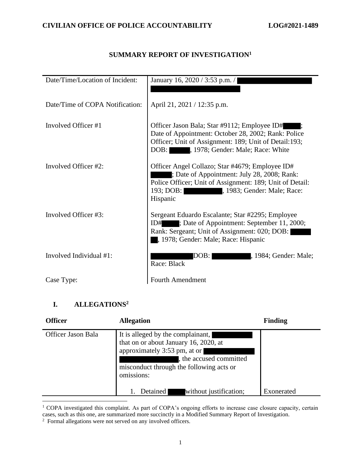## **SUMMARY REPORT OF INVESTIGATION<sup>1</sup>**

| Date/Time/Location of Incident: | January 16, 2020 / 3:53 p.m. /                                                                                                                                                                                     |
|---------------------------------|--------------------------------------------------------------------------------------------------------------------------------------------------------------------------------------------------------------------|
|                                 |                                                                                                                                                                                                                    |
| Date/Time of COPA Notification: | April 21, 2021 / 12:35 p.m.                                                                                                                                                                                        |
| Involved Officer #1             | Officer Jason Bala; Star #9112; Employee ID#<br>Date of Appointment: October 28, 2002; Rank: Police<br>Officer; Unit of Assignment: 189; Unit of Detail: 193;<br>, 1978; Gender: Male; Race: White<br>DOB:         |
| Involved Officer #2:            | Officer Angel Collazo; Star #4679; Employee ID#<br>; Date of Appointment: July 28, 2008; Rank:<br>Police Officer; Unit of Assignment: 189; Unit of Detail:<br>193; DOB:<br>, 1983; Gender: Male; Race:<br>Hispanic |
| Involved Officer #3:            | Sergeant Eduardo Escalante; Star #2295; Employee<br>; Date of Appointment: September 11, 2000;<br>ID#<br>Rank: Sergeant; Unit of Assignment: 020; DOB:<br>, 1978; Gender: Male; Race: Hispanic                     |
| Involved Individual #1:         | , 1984; Gender: Male;<br>DOB: I<br>Race: Black                                                                                                                                                                     |
| Case Type:                      | <b>Fourth Amendment</b>                                                                                                                                                                                            |

## **I. ALLEGATIONS<sup>2</sup>**

| <b>Officer</b>     | <b>Allegation</b>                                                                                                                                                                             | <b>Finding</b> |
|--------------------|-----------------------------------------------------------------------------------------------------------------------------------------------------------------------------------------------|----------------|
| Officer Jason Bala | It is alleged by the complainant,<br>that on or about January 16, 2020, at<br>approximately 3:53 pm, at or<br>the accused committed<br>misconduct through the following acts or<br>omissions: |                |
|                    | Detained<br>without justification;                                                                                                                                                            | Exonerated     |

<sup>&</sup>lt;sup>1</sup> COPA investigated this complaint. As part of COPA's ongoing efforts to increase case closure capacity, certain cases, such as this one, are summarized more succinctly in a Modified Summary Report of Investigation.

<sup>&</sup>lt;sup>2</sup> Formal allegations were not served on any involved officers.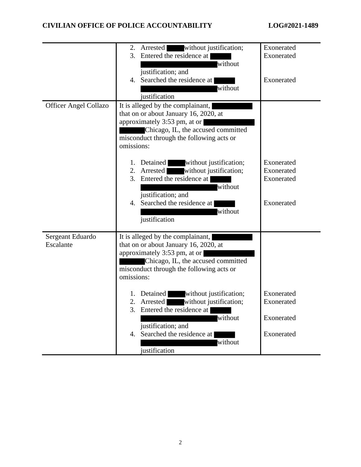|                               | Arrested<br>without justification;<br>2.<br>3. Entered the residence at  <br>without<br>justification; and<br>4. Searched the residence at<br>without<br>justification                                                                                                                                                                                                                                                      | Exonerated<br>Exonerated<br>Exonerated               |
|-------------------------------|-----------------------------------------------------------------------------------------------------------------------------------------------------------------------------------------------------------------------------------------------------------------------------------------------------------------------------------------------------------------------------------------------------------------------------|------------------------------------------------------|
| <b>Officer Angel Collazo</b>  | It is alleged by the complainant,<br>that on or about January 16, 2020, at<br>approximately 3:53 pm, at or<br>Chicago, IL, the accused committed<br>misconduct through the following acts or<br>omissions:                                                                                                                                                                                                                  |                                                      |
|                               | 1. Detained without justification;<br>without justification;<br>2. Arrested<br>3. Entered the residence at<br>without<br>justification; and<br>4. Searched the residence at<br>without<br>justification                                                                                                                                                                                                                     | Exonerated<br>Exonerated<br>Exonerated<br>Exonerated |
| Sergeant Eduardo<br>Escalante | It is alleged by the complainant,<br>that on or about January 16, 2020, at<br>approximately 3:53 pm, at or<br>Chicago, IL, the accused committed<br>misconduct through the following acts or<br>omissions:<br>without justification;<br>Detained<br>without justification;<br>2.<br>Arrested<br>3. Entered the residence at<br>without<br>justification; and<br>Searched the residence at<br>4.<br>without<br>justification | Exonerated<br>Exonerated<br>Exonerated<br>Exonerated |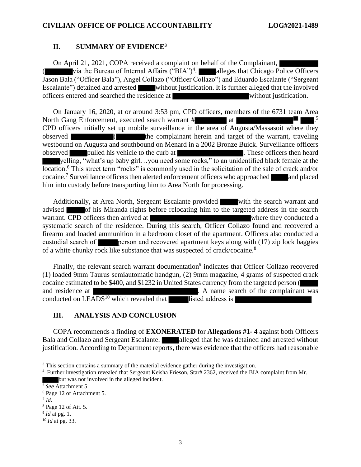## **II. SUMMARY OF EVIDENCE<sup>3</sup>**

On April 21, 2021, COPA received a complaint on behalf of the Complainant, ( $\dot{v}$  via the Bureau of Internal Affairs ("BIA")<sup>4</sup>. alleges that Chicago Police Officers Jason Bala ("Officer Bala"), Angel Collazo ("Officer Collazo") and Eduardo Escalante ("Sergeant Escalante") detained and arrested without justification. It is further alleged that the involved officers entered and searched the residence at without justification.

On January 16, 2020, at or around 3:53 pm, CPD officers, members of the 6731 team Area North Gang Enforcement, executed search warrant # at . 5 CPD officers initially set up mobile surveillance in the area of Augusta/Massasoit where they observed ( the complainant herein and target of the warrant, traveling westbound on Augusta and southbound on Menard in a 2002 Bronze Buick. Surveillance officers observed pulled his vehicle to the curb at . These officers then heard yelling, "what's up baby girl…you need some rocks," to an unidentified black female at the location.<sup>6</sup> This street term "rocks" is commonly used in the solicitation of the sale of crack and/or cocaine.<sup>7</sup> Surveillance officers then alerted enforcement officers who approached and placed him into custody before transporting him to Area North for processing.

Additionally, at Area North, Sergeant Escalante provided with the search warrant and advised of his Miranda rights before relocating him to the targeted address in the search warrant. CPD officers then arrived at where they conducted a systematic search of the residence. During this search, Officer Collazo found and recovered a firearm and loaded ammunition in a bedroom closet of the apartment. Officers also conducted a custodial search of person and recovered apartment keys along with (17) zip lock baggies of a white chunky rock like substance that was suspected of crack/cocaine.<sup>8</sup>

Finally, the relevant search warrant documentation<sup>9</sup> indicates that Officer Collazo recovered (1) loaded 9mm Taurus semiautomatic handgun, (2) 9mm magazine, 4 grams of suspected crack cocaine estimated to be \$400, and \$1232 in United States currency from the targeted person ( and residence at **. A** name search of the complainant was conducted on  $LEADS<sup>10</sup>$  which revealed that listed address is

## **III. ANALYSIS AND CONCLUSION**

COPA recommends a finding of **EXONERATED** for **Allegations #1- 4** against both Officers Bala and Collazo and Sergeant Escalante. **Alleged that he was detained and arrested without** justification. According to Department reports, there was evidence that the officers had reasonable

5 *See* Attachment 5

7 *Id*.

<sup>&</sup>lt;sup>3</sup> This section contains a summary of the material evidence gather during the investigation.

<sup>4</sup> Further investigation revealed that Sergeant Keisha Frieson, Star# 2362, received the BIA complaint from Mr. but was not involved in the alleged incident.

<sup>6</sup> Page 12 of Attachment 5.

<sup>8</sup> Page 12 of Att. 5.

<sup>9</sup> *Id* at pg. 1.

<sup>10</sup> *Id* at pg. 33.